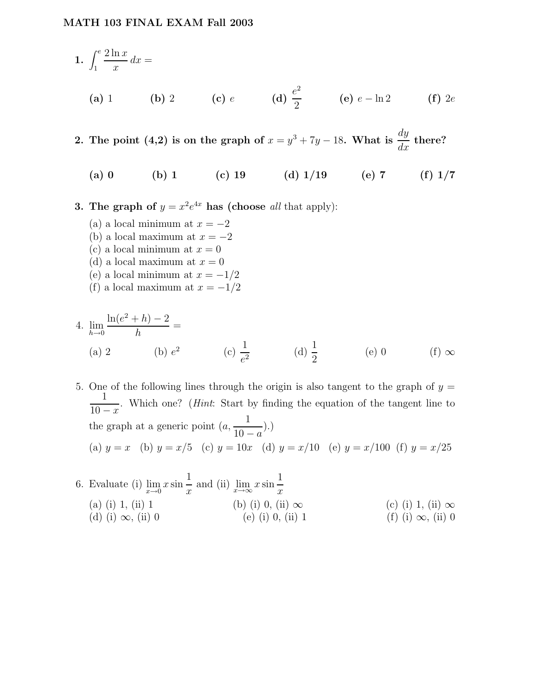1. 
$$
\int_{1}^{e} \frac{2 \ln x}{x} dx =
$$
  
\n(a) 1 \t(b) 2 \t(c) e \t(d)  $\frac{e^{2}}{2}$  \t(e)  $e - \ln 2$  \t(f) 2e

2. The point (4,2) is on the graph of  $x = y^3 + 7y - 18$ . What is  $\frac{dy}{dx}$  there?

(a) 0 (b) 1 (c) 19 (d)  $1/19$  (e) 7 (f)  $1/7$ 

**3.** The graph of  $y = x^2 e^{4x}$  has (choose all that apply):

(a) a local minimum at  $x = -2$ (b) a local maximum at  $x = -2$ (c) a local minimum at  $x = 0$ (d) a local maximum at  $x = 0$ (e) a local minimum at  $x = -1/2$ (f) a local maximum at  $x = -1/2$ 

4. 
$$
\lim_{h \to 0} \frac{\ln(e^2 + h) - 2}{h} =
$$
\n(a) 2\n(b)  $e^2$ \n(c)  $\frac{1}{e^2}$ \n(d)  $\frac{1}{2}$ \n(e) 0\n(f)  $\infty$ 

5. One of the following lines through the origin is also tangent to the graph of  $y =$ 1  $10 - x$ . Which one? (Hint: Start by finding the equation of the tangent line to the graph at a generic point  $(a,$ 1  $10 - a$ ).) (a)  $y = x$  (b)  $y = x/5$  (c)  $y = 10x$  (d)  $y = x/10$  (e)  $y = x/100$  (f)  $y = x/25$ 

6. Evaluate (i)  $\lim_{x\to 0} x \sin$ 1  $\frac{1}{x}$  and (ii)  $\lim_{x \to \infty} x \sin x$ 1  $\overline{x}$ (a) (i) 1, (ii) 1 (b) (i) 0, (ii)  $\infty$  (c) (i) 1, (ii)  $\infty$  (d) (i)  $\infty$ , (ii) 0 (e) (i) 0, (ii) 1 (f) (i)  $\infty$ , (ii) 0 (d) (i)  $\infty$ , (ii) 0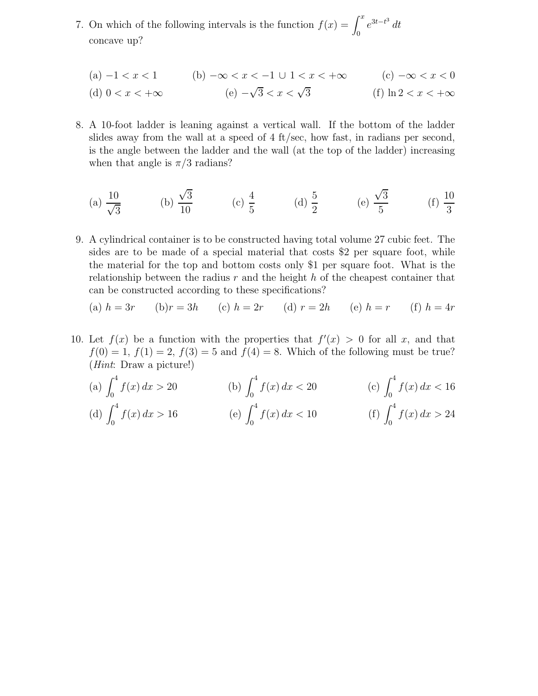7. On which of the following intervals is the function  $f(x) = \int^x$  $\int_0^x e^{3t-t^3} dt$ concave up?

(a) 
$$
-1 < x < 1
$$
 (b)  $-\infty < x < -1 \cup 1 < x < +\infty$  (c)  $-\infty < x < 0$   
(d)  $0 < x < +\infty$  (e)  $-\sqrt{3} < x < \sqrt{3}$  (f)  $\ln 2 < x < +\infty$ 

8. A 10-foot ladder is leaning against a vertical wall. If the bottom of the ladder slides away from the wall at a speed of 4 ft/sec, how fast, in radians per second, is the angle between the ladder and the wall (at the top of the ladder) increasing when that angle is  $\pi/3$  radians?

(a) 
$$
\frac{10}{\sqrt{3}}
$$
 (b)  $\frac{\sqrt{3}}{10}$  (c)  $\frac{4}{5}$  (d)  $\frac{5}{2}$  (e)  $\frac{\sqrt{3}}{5}$  (f)  $\frac{10}{3}$ 

9. A cylindrical container is to be constructed having total volume 27 cubic feet. The sides are to be made of a special material that costs \$2 per square foot, while the material for the top and bottom costs only \$1 per square foot. What is the relationship between the radius  $r$  and the height  $h$  of the cheapest container that can be constructed according to these specifications?

(a) 
$$
h = 3r
$$
 (b)  $r = 3h$  (c)  $h = 2r$  (d)  $r = 2h$  (e)  $h = r$  (f)  $h = 4r$ 

10. Let  $f(x)$  be a function with the properties that  $f'(x) > 0$  for all x, and that  $f(0) = 1, f(1) = 2, f(3) = 5$  and  $f(4) = 8$ . Which of the following must be true? (Hint: Draw a picture!)

(a) 
$$
\int_0^4 f(x) dx > 20
$$
  
\n(b)  $\int_0^4 f(x) dx < 20$   
\n(c)  $\int_0^4 f(x) dx < 16$   
\n(d)  $\int_0^4 f(x) dx > 16$   
\n(e)  $\int_0^4 f(x) dx < 10$   
\n(f)  $\int_0^4 f(x) dx > 24$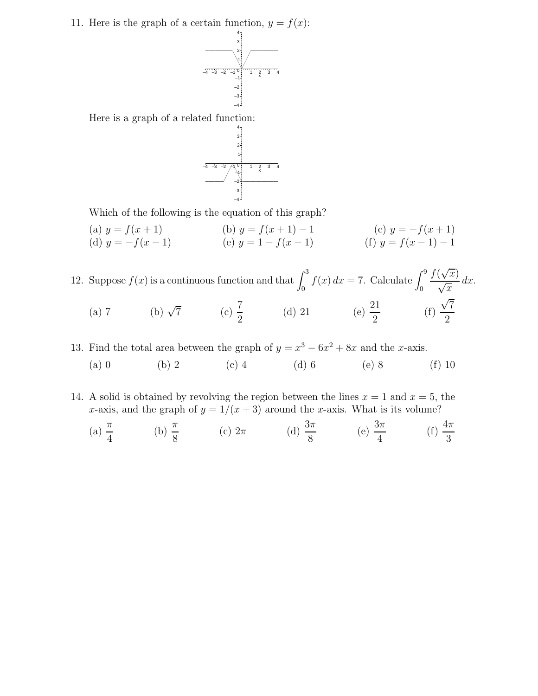11. Here is the graph of a certain function,  $y = f(x)$ :



Here is a graph of a related function:



Which of the following is the equation of this graph?

(a)  $y = f(x+1)$  (b)  $y = f(x+1) - 1$  (c)  $y = -f(x+1)$ (d)  $y = -f(x - 1)$  (e)  $y = 1 - f(x - 1)$  (f)  $y = f(x - 1) - 1$ 

12. Suppose  $f(x)$  is a continuous function and that  $\int_0^3 f(x) dx = 7$ . Calculate  $\int_0^9$  $f(\sqrt{x})$  $\sqrt{x}$  $dx$ . (a) 7 (b)  $\sqrt{7}$  (c)  $\frac{7}{9}$ 2 (d) 21 (e)  $\frac{21}{9}$ 2 (f)  $\sqrt{7}$ 2

13. Find the total area between the graph of  $y = x^3 - 6x^2 + 8x$  and the x-axis. (a) 0 (b) 2 (c) 4 (d) 6 (e) 8 (f) 10

14. A solid is obtained by revolving the region between the lines  $x = 1$  and  $x = 5$ , the x-axis, and the graph of  $y = 1/(x+3)$  around the x-axis. What is its volume?

(a) 
$$
\frac{\pi}{4}
$$
 \t(b)  $\frac{\pi}{8}$  \t(c)  $2\pi$  \t(d)  $\frac{3\pi}{8}$  \t(e)  $\frac{3\pi}{4}$  \t(f)  $\frac{4\pi}{3}$